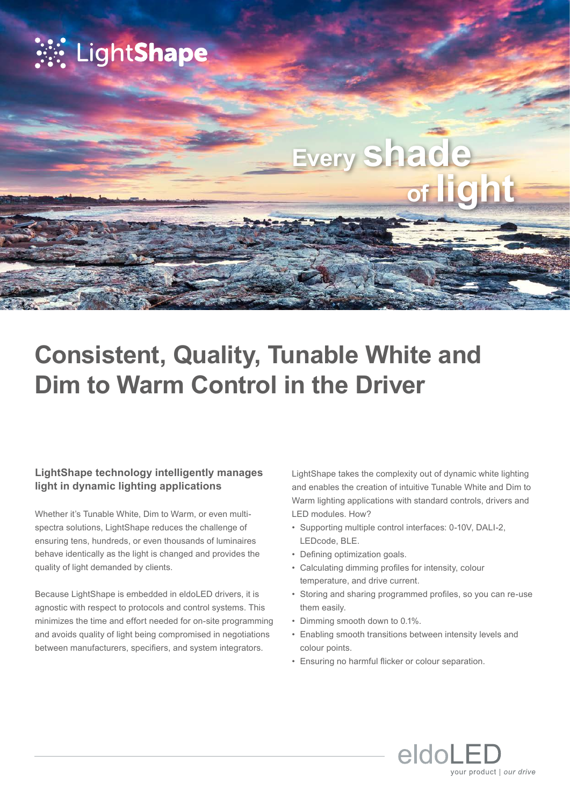

# **Consistent, Quality, Tunable White and Dim to Warm Control in the Driver**

## **LightShape technology intelligently manages light in dynamic lighting applications**

Whether it's Tunable White, Dim to Warm, or even multispectra solutions, LightShape reduces the challenge of ensuring tens, hundreds, or even thousands of luminaires behave identically as the light is changed and provides the quality of light demanded by clients.

Because LightShape is embedded in eldoLED drivers, it is agnostic with respect to protocols and control systems. This minimizes the time and effort needed for on-site programming and avoids quality of light being compromised in negotiations between manufacturers, specifiers, and system integrators.

LightShape takes the complexity out of dynamic white lighting and enables the creation of intuitive Tunable White and Dim to Warm lighting applications with standard controls, drivers and LED modules. How?

- Supporting multiple control interfaces: 0-10V, DALI-2, LEDcode, BLE.
- Defining optimization goals.
- Calculating dimming profiles for intensity, colour temperature, and drive current.
- Storing and sharing programmed profiles, so you can re-use them easily.
- Dimming smooth down to 0.1%.
- Enabling smooth transitions between intensity levels and colour points.
- Ensuring no harmful flicker or colour separation.